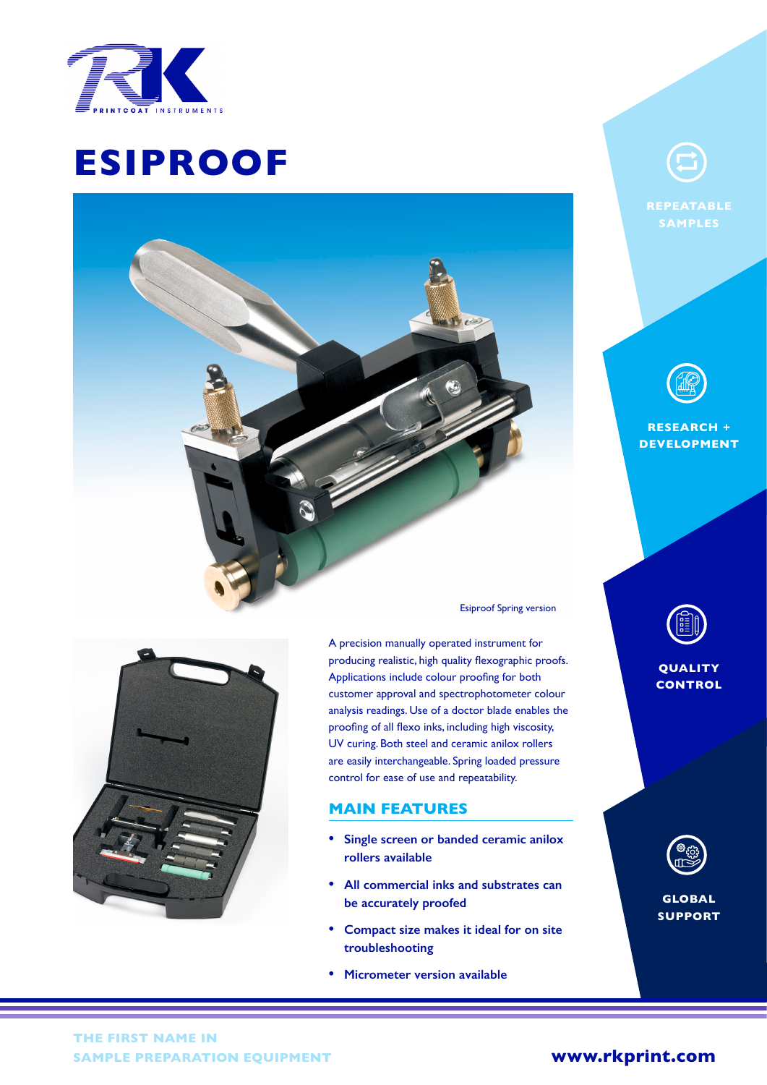

## Simon Payne **ESIPROOF**

 $T_{\rm eff}$  (0)1763  $R_{\rm eff}$ 

 $\mathbb{R}^n$  . Simon Website: which we be a simple  $\mathbb{R}^n$ 

**REPEATABLE**

**RESEARCH + DEVELOPMENT**



Esiproof Spring version

 $\mathcal{F}(\phi)$ 

A precision manually operated instrument for producing realistic, high quality flexographic proofs. Applications include colour proofing for both customer approval and spectrophotometer colour analysis readings. Use of a doctor blade enables the proofing of all flexo inks, including high viscosity, UV curing. Both steel and ceramic anilox rollers are easily interchangeable. Spring loaded pressure control for ease of use and repeatability.

### **MAIN FEATURES**

- **• Single screen or banded ceramic anilox rollers available**
- **• All commercial inks and substrates can be accurately proofed**
- **• Compact size makes it ideal for on site troubleshooting**
- **• Micrometer version available**



### **QUALITY CONTROL**



**GLOBAL SUPPORT**